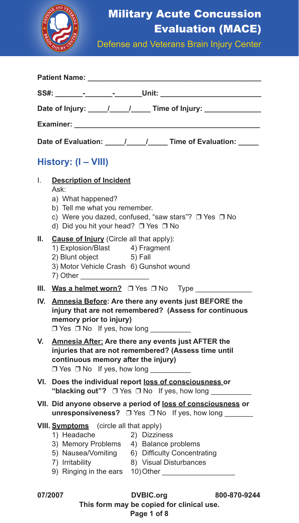

## Military Acute Concussion Evaluation (MACE)

Defense and Veterans Brain Injury Center

|         | Patient Name: Name                                                                                                                                                                                                                                        |  |  |  |  |  |  |  |  |
|---------|-----------------------------------------------------------------------------------------------------------------------------------------------------------------------------------------------------------------------------------------------------------|--|--|--|--|--|--|--|--|
|         |                                                                                                                                                                                                                                                           |  |  |  |  |  |  |  |  |
|         |                                                                                                                                                                                                                                                           |  |  |  |  |  |  |  |  |
|         | Examiner: The contract of the contract of the contract of the contract of the contract of the contract of the contract of the contract of the contract of the contract of the contract of the contract of the contract of the                             |  |  |  |  |  |  |  |  |
|         | Date of Evaluation: _____/_____/______ Time of Evaluation: _____                                                                                                                                                                                          |  |  |  |  |  |  |  |  |
|         | History: (I - VIII)                                                                                                                                                                                                                                       |  |  |  |  |  |  |  |  |
| I.      | <b>Description of Incident</b><br>Ask:<br>a) What happened?<br>b) Tell me what you remember.<br>c) Were you dazed, confused, "saw stars"? □ Yes □ No<br>d) Did you hit your head? □ Yes □ No                                                              |  |  |  |  |  |  |  |  |
| Ш.      | Cause of Injury (Circle all that apply):<br>1) Explosion/Blast 4) Fragment<br>2) Blunt object<br>5) Fall<br>3) Motor Vehicle Crash 6) Gunshot wound<br>7) Other                                                                                           |  |  |  |  |  |  |  |  |
|         | III. Was a helmet worn? $\Box$ Yes $\Box$ No Type                                                                                                                                                                                                         |  |  |  |  |  |  |  |  |
|         | IV. Amnesia Before: Are there any events just BEFORE the<br>injury that are not remembered? (Assess for continuous<br>memory prior to injury)<br>$\Box$ Yes $\Box$ No If yes, how long                                                                    |  |  |  |  |  |  |  |  |
| V.      | <b>Amnesia After: Are there any events just AFTER the</b><br>injuries that are not remembered? (Assess time until<br>continuous memory after the injury)<br>$\Box$ Yes $\Box$ No If yes, how long                                                         |  |  |  |  |  |  |  |  |
| VI.     | Does the individual report loss of consciousness or<br>"blacking out"? $\Box$ Yes $\Box$ No If yes, how long                                                                                                                                              |  |  |  |  |  |  |  |  |
|         | VII. Did anyone observe a period of loss of consciousness or<br>unresponsiveness? $\Box$ Yes $\Box$ No If yes, how long                                                                                                                                   |  |  |  |  |  |  |  |  |
|         | <b>VIII.</b> Symptoms (circle all that apply)<br>1) Headache<br>2) Dizziness<br>3) Memory Problems 4) Balance problems<br>5) Nausea/Vomiting 6) Difficulty Concentrating<br>7) Irritability<br>8) Visual Disturbances<br>9) Ringing in the ears 10) Other |  |  |  |  |  |  |  |  |
| 07/2007 | DVBIC.org<br>800-870-9244<br>This form may be copied for clinical use.                                                                                                                                                                                    |  |  |  |  |  |  |  |  |

**Page 1 of 8**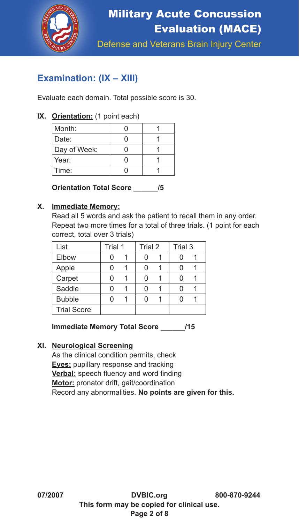

### **Examination: (IX – XIII)**

Evaluate each domain. Total possible score is 30.

### **IX. Orientation:** (1 point each)

| Month:       |  |
|--------------|--|
| Date:        |  |
| Day of Week: |  |
| Year:        |  |
| Time:        |  |

**Orientation Total Score \_\_\_\_\_\_/5**

### **X. Immediate Memory:**

Read all 5 words and ask the patient to recall them in any order. Repeat two more times for a total of three trials. (1 point for each correct, total over 3 trials)

| List               | Trial 1 | Trial 2 | Trial 3 |  |
|--------------------|---------|---------|---------|--|
| Elbow              |         |         |         |  |
| Apple              |         |         |         |  |
| Carpet             |         |         |         |  |
| Saddle             |         | U       |         |  |
| <b>Bubble</b>      |         | n       |         |  |
| <b>Trial Score</b> |         |         |         |  |
|                    |         |         |         |  |

**Immediate Memory Total Score \_\_\_\_\_\_/15**

### **XI. Neurological Screening**

As the clinical condition permits, check **Eyes:** pupillary response and tracking **Verbal:** speech fluency and word finding **Motor:** pronator drift, gait/coordination Record any abnormalities. **No points are given for this.**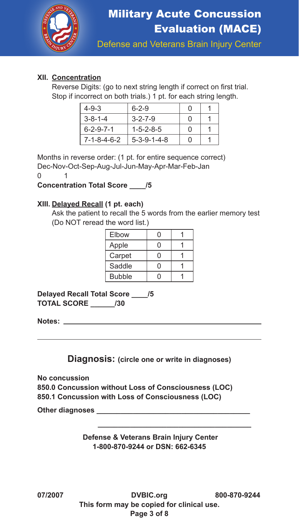

### **XII. Concentration**

 Reverse Digits: (go to next string length if correct on first trial. Stop if incorrect on both trials.) 1 pt. for each string length.

| $4 - 9 - 3$         | $6 - 2 - 9$             |        |  |
|---------------------|-------------------------|--------|--|
| $3 - 8 - 1 - 4$     | $3 - 2 - 7 - 9$         |        |  |
| $6 - 2 - 9 - 7 - 1$ | $1 - 5 - 2 - 8 - 5$     | $\Box$ |  |
| 7-1-8-4-6-2         | $5 - 3 - 9 - 1 - 4 - 8$ |        |  |

Months in reverse order: (1 pt. for entire sequence correct) Dec-Nov-Oct-Sep-Aug-Jul-Jun-May-Apr-Mar-Feb-Jan

0 1

**Concentration Total Score \_\_\_\_/5**

### **XIII. Delayed Recall (1 pt. each)**

Ask the patient to recall the 5 words from the earlier memory test (Do NOT reread the word list.)

| Elbow         |  |
|---------------|--|
| Apple         |  |
| Carpet        |  |
| Saddle        |  |
| <b>Bubble</b> |  |

**Delayed Recall Total Score \_\_\_\_/5 TOTAL SCORE \_\_\_\_\_\_/30**

**Notes:** 

**Diagnosis: (circle one or write in diagnoses)**

**No concussion 850.0 Concussion without Loss of Consciousness (LOC) 850.1 Concussion with Loss of Consciousness (LOC)** 

**Other diagnoses \_\_\_\_\_\_\_\_\_\_\_\_\_\_\_\_\_\_\_\_\_\_\_\_\_\_\_\_\_\_\_\_\_\_\_\_\_\_**

**Defense & Veterans Brain Injury Center 1-800-870-9244 or DSN: 662-6345**

 **\_\_\_\_\_\_\_\_\_\_\_\_\_\_\_\_\_\_\_\_\_\_\_\_\_\_\_\_\_\_\_\_\_\_\_\_\_\_**

**07/2007 DVBIC.org 800-870-9244 This form may be copied for clinical use. Page 3 of 8**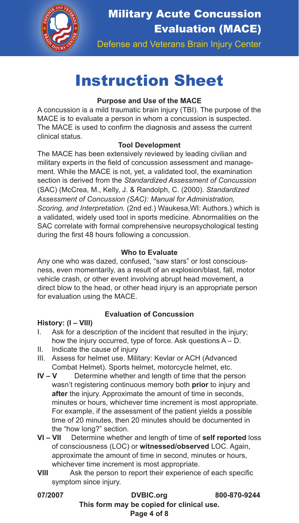

Military Acute Concussion Evaluation (MACE)

Defense and Veterans Brain Injury Center

# Instruction Sheet

### **Purpose and Use of the MACE**

A concussion is a mild traumatic brain injury (TBI). The purpose of the MACE is to evaluate a person in whom a concussion is suspected. The MACE is used to confirm the diagnosis and assess the current clinical status.

### **Tool Development**

The MACE has been extensively reviewed by leading civilian and military experts in the field of concussion assessment and management. While the MACE is not, yet, a validated tool, the examination section is derived from the *Standardized Assessment of Concussion* (SAC) (McCrea, M., Kelly, J. & Randolph, C. (2000). *Standardized Assessment of Concussion (SAC): Manual for Administration, Scoring, and Interpretation.* (2nd ed.) Waukesa,WI: Authors.) which is a validated, widely used tool in sports medicine. Abnormalities on the SAC correlate with formal comprehensive neuropsychological testing during the first 48 hours following a concussion.

### **Who to Evaluate**

Any one who was dazed, confused, "saw stars" or lost consciousness, even momentarily, as a result of an explosion/blast, fall, motor vehicle crash, or other event involving abrupt head movement, a direct blow to the head, or other head injury is an appropriate person for evaluation using the MACE.

### **Evaluation of Concussion**

### **History: (I – VIII)**

- I. Ask for a description of the incident that resulted in the injury; how the injury occurred, type of force. Ask questions A – D.
- II. Indicate the cause of injury
- III. Assess for helmet use. Military: Kevlar or ACH (Advanced Combat Helmet). Sports helmet, motorcycle helmet, etc.
- **IV V** Determine whether and length of time that the person wasn't registering continuous memory both **prior** to injury and **after** the injury. Approximate the amount of time in seconds, minutes or hours, whichever time increment is most appropriate. For example, if the assessment of the patient yields a possible time of 20 minutes, then 20 minutes should be documented in the "how long?" section.
- **VI VII** Determine whether and length of time of **self reported** loss of consciousness (LOC) or **witnessed/observed** LOC. Again, approximate the amount of time in second, minutes or hours, whichever time increment is most appropriate.
- **VIII** Ask the person to report their experience of each specific symptom since injury.

| 07/2007 | <b>DVBIC.org</b>                          | 800-870-9244 |
|---------|-------------------------------------------|--------------|
|         | This form may be copied for clinical use. |              |
|         | Page 4 of 8                               |              |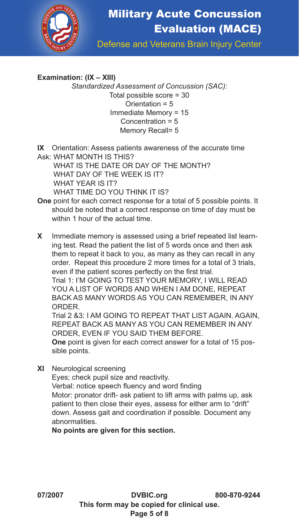

### **Examination: (IX – XIII)**

*Standardized Assessment of Concussion (SAC):*  Total possible score = 30 Orientation = 5 Immediate Memory = 15 Concentration = 5 Memory Recall= 5

**IX** Orientation: Assess patients awareness of the accurate time Ask: WHAT MONTH IS THIS?

 WHAT IS THE DATE OR DAY OF THE MONTH? WHAT DAY OF THE WEEK IS IT? WHAT YEAR IS IT? WHAT TIME DO YOU THINK IT IS?

- **One** point for each correct response for a total of 5 possible points. It should be noted that a correct response on time of day must be within 1 hour of the actual time.
- **X** Immediate memory is assessed using a brief repeated list learning test. Read the patient the list of 5 words once and then ask them to repeat it back to you, as many as they can recall in any order. Repeat this procedure 2 more times for a total of 3 trials, even if the patient scores perfectly on the first trial. Trial 1: I'M GOING TO TEST YOUR MEMORY, I WILL READ

YOU A LIST OF WORDS AND WHEN I AM DONE, REPEAT BACK AS MANY WORDS AS YOU CAN REMEMBER, IN ANY ORDER.

Trial 2 &3: LAM GOING TO REPEAT THAT LIST AGAIN, AGAIN REPEAT BACK AS MANY AS YOU CAN REMEMBER IN ANY ORDER, EVEN IF YOU SAID THEM BEFORE.

**One** point is given for each correct answer for a total of 15 possible points.

**XI** Neurological screening Eyes; check pupil size and reactivity. Verbal: notice speech fluency and word finding Motor: pronator drift- ask patient to lift arms with palms up, ask patient to then close their eyes, assess for either arm to "drift" down. Assess gait and coordination if possible. Document any abnormalities.

**No points are given for this section.**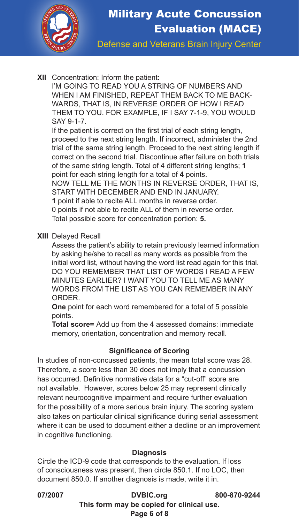

## Military Acute Concussion Evaluation (MACE)

Defense and Veterans Brain Injury Center

#### **XII** Concentration: Inform the patient:

I'M GOING TO READ YOU A STRING OF NUMBERS AND WHEN I AM FINISHED, REPEAT THEM BACK TO ME BACK-WARDS, THAT IS, IN REVERSE ORDER OF HOW I READ THEM TO YOU. FOR EXAMPLE, IF I SAY 7-1-9, YOU WOULD SAY 9-1-7.

 If the patient is correct on the first trial of each string length, proceed to the next string length. If incorrect, administer the 2nd trial of the same string length. Proceed to the next string length if correct on the second trial. Discontinue after failure on both trials of the same string length. Total of 4 different string lengths; **1** point for each string length for a total of **4** points.

NOW TELL ME THE MONTHS IN REVERSE ORDER, THAT IS, START WITH DECEMBER AND END IN JANUARY.

**1** point if able to recite ALL months in reverse order.

0 points if not able to recite ALL of them in reverse order. Total possible score for concentration portion: **5.**

**XIII** Delayed Recall

Assess the patient's ability to retain previously learned information by asking he/she to recall as many words as possible from the initial word list, without having the word list read again for this trial. DO YOU REMEMBER THAT LIST OF WORDS I READ A FEW MINUTES EARLIER? I WANT YOU TO TELL ME AS MANY WORDS FROM THE LIST AS YOU CAN REMEMBER IN ANY **ORDER** 

**One** point for each word remembered for a total of 5 possible points.

**Total score=** Add up from the 4 assessed domains: immediate memory, orientation, concentration and memory recall.

#### **Significance of Scoring**

In studies of non-concussed patients, the mean total score was 28. Therefore, a score less than 30 does not imply that a concussion has occurred. Definitive normative data for a "cut-off" score are not available. However, scores below 25 may represent clinically relevant neurocognitive impairment and require further evaluation for the possibility of a more serious brain injury. The scoring system also takes on particular clinical significance during serial assessment where it can be used to document either a decline or an improvement in cognitive functioning.

#### **Diagnosis**

Circle the ICD-9 code that corresponds to the evaluation. If loss of consciousness was present, then circle 850.1. If no LOC, then document 850.0. If another diagnosis is made, write it in.

**07/2007 DVBIC.org 800-870-9244 This form may be copied for clinical use. Page 6 of 8**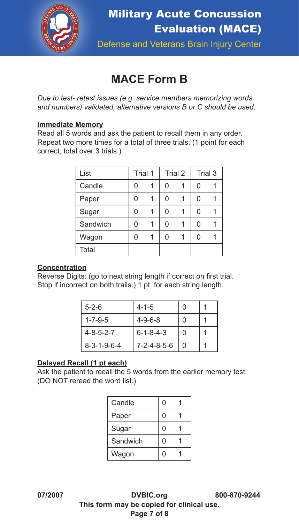

### **MACE Form B**

*Due to test- retest issues (e.g. service members memorizing words and numbers) validated, alternative versions B or C should be used.* 

### **Immediate Memory**

Read all 5 words and ask the patient to recall them in any order. Repeat two more times for a total of three trials. (1 point for each correct, total over 3 trials.)

| List     | Trial 1 |   | Trial 2 | Trial 3 |  |
|----------|---------|---|---------|---------|--|
| Candle   | 0       | 0 |         | 0       |  |
| Paper    | 0       | 0 |         | 0       |  |
| Sugar    | U       | O |         | Ω       |  |
| Sandwich | U       | O |         | Ω       |  |
| Wagon    | 0       | 0 |         | 0       |  |
| Total    |         |   |         |         |  |

### **Concentration**

Reverse Digits: (go to next string length if correct on first trial. Stop if incorrect on both trails.) 1 pt. for each string length.

| $5 - 2 - 6$             | $4 - 1 - 5$             | U |  |
|-------------------------|-------------------------|---|--|
| $1 - 7 - 9 - 5$         | $4 - 9 - 6 - 8$         | O |  |
| $4 - 8 - 5 - 2 - 7$     | $6 - 1 - 8 - 4 - 3$     | O |  |
| $8 - 3 - 1 - 9 - 6 - 4$ | $7 - 2 - 4 - 8 - 5 - 6$ | O |  |

### **Delayed Recall (1 pt each)**

Ask the patient to recall the 5 words from the earlier memory test (DO NOT reread the word list.)

| Candle   | U |  |
|----------|---|--|
| Paper    | 0 |  |
| Sugar    | 0 |  |
| Sandwich | Ω |  |
| Wagon    | C |  |

**07/2007 DVBIC.org 800-870-9244 This form may be copied for clinical use. Page 7 of 8**